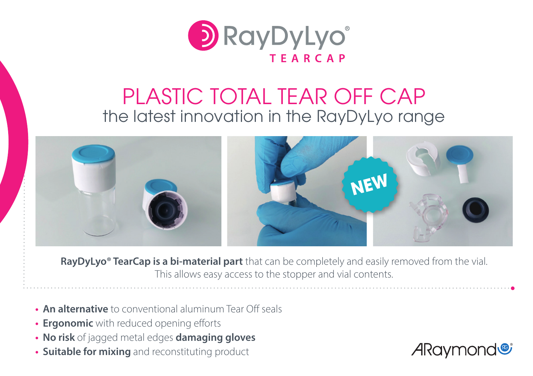

# PLASTIC TOTAL TEAR OFF CAP the latest innovation in the RayDyLyo range



**RayDyLyo® TearCap is a bi-material part** that can be completely and easily removed from the vial. This allows easy access to the stopper and vial contents.

- **• An alternative** to conventional aluminum Tear Off seals
- **• Ergonomic** with reduced opening efforts
- **• No risk** of jagged metal edges **damaging gloves**
- **• Suitable for mixing** and reconstituting product